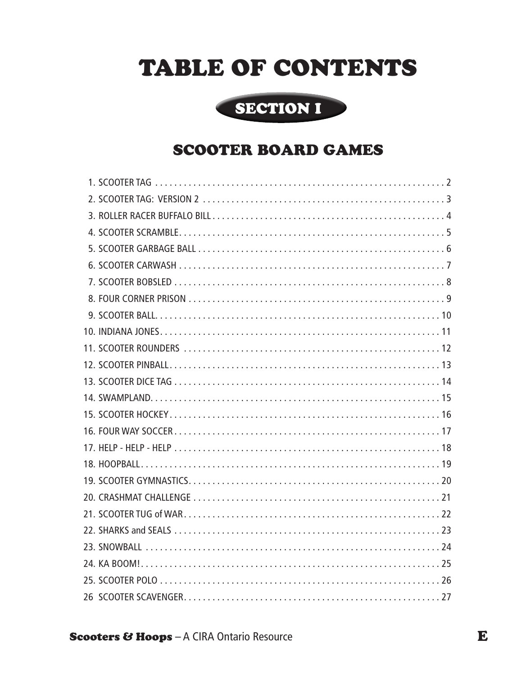# TABLE OF CONTENTS



## SCOOTER BOARD GAMES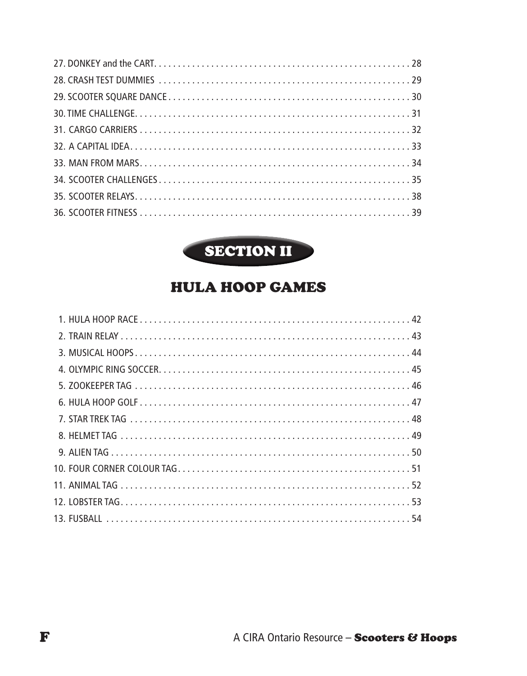

## HULA HOOP GAMES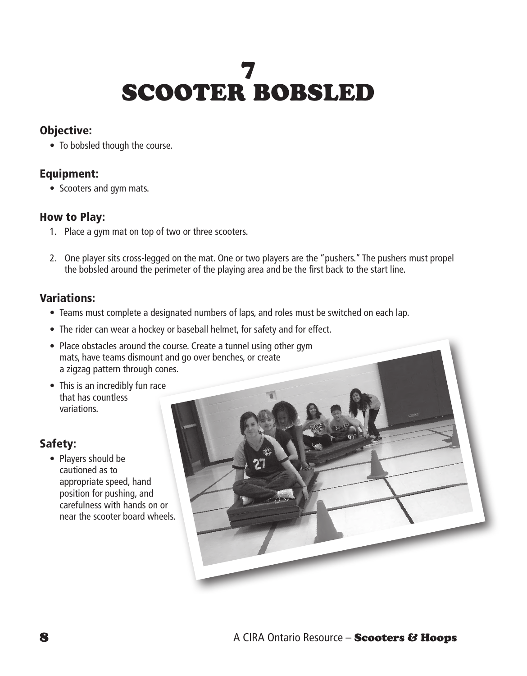# 7 SCOOTER BOBSLED

### Objective:

• To bobsled though the course.

#### Equipment:

• Scooters and gym mats.

#### How to Play:

- 1. Place a gym mat on top of two or three scooters.
- 2. One player sits cross-legged on the mat. One or two players are the "pushers." The pushers must propel the bobsled around the perimeter of the playing area and be the first back to the start line.

### Variations:

- Teams must complete a designated numbers of laps, and roles must be switched on each lap.
- The rider can wear a hockey or baseball helmet, for safety and for effect.
- Place obstacles around the course. Create a tunnel using other gym mats, have teams dismount and go over benches, or create a zigzag pattern through cones.
- This is an incredibly fun race that has countless variations.

#### Safety:

• Players should be cautioned as to appropriate speed, hand position for pushing, and carefulness with hands on or near the scooter board wheels.

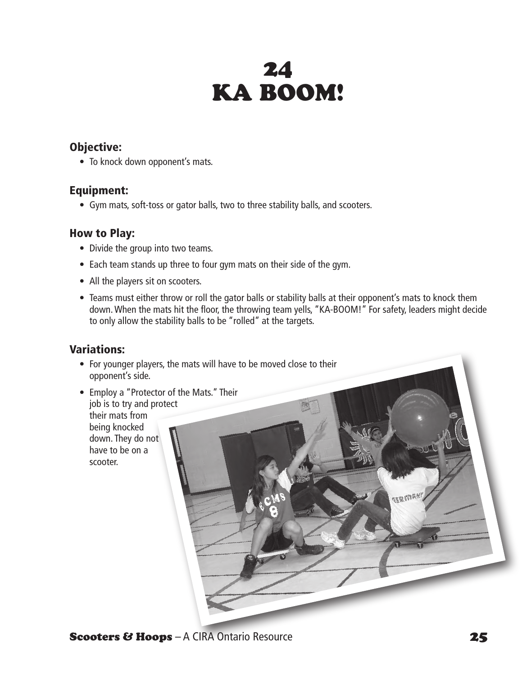# 24 KA BOOM!

#### Objective:

• To knock down opponent's mats.

#### Equipment:

• Gym mats, soft-toss or gator balls, two to three stability balls, and scooters.

#### How to Play:

- Divide the group into two teams.
- Each team stands up three to four gym mats on their side of the gym.
- All the players sit on scooters.
- Teams must either throw or roll the gator balls or stability balls at their opponent's mats to knock them down. When the mats hit the floor, the throwing team yells, "KA-BOOM!" For safety, leaders might decide to only allow the stability balls to be "rolled" at the targets.

#### Variations:

- For younger players, the mats will have to be moved close to their opponent's side.
- Employ a "Protector of the Mats." Their job is to try and protect their mats from being knocked down. They do not have to be on a scooter.

**Scooters & Hoops** – A CIRA Ontario Resource 25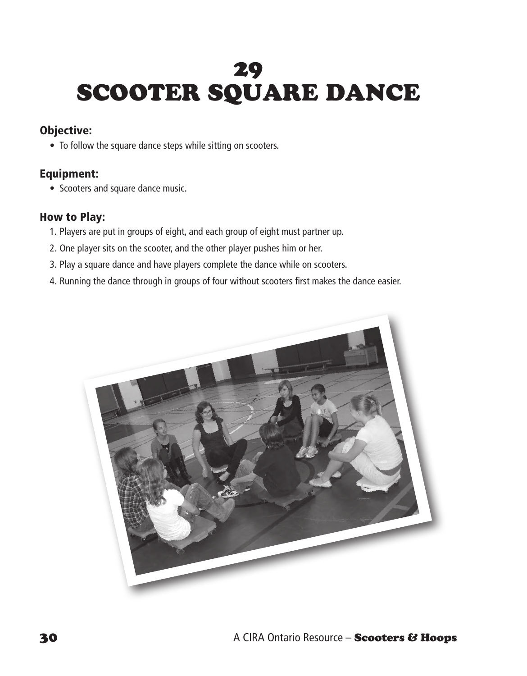# 29 SCOOTER SQUARE DANCE

### Objective:

• To follow the square dance steps while sitting on scooters.

#### Equipment:

• Scooters and square dance music.

#### How to Play:

- 1. Players are put in groups of eight, and each group of eight must partner up.
- 2. One player sits on the scooter, and the other player pushes him or her.
- 3. Play a square dance and have players complete the dance while on scooters.
- 4. Running the dance through in groups of four without scooters first makes the dance easier.

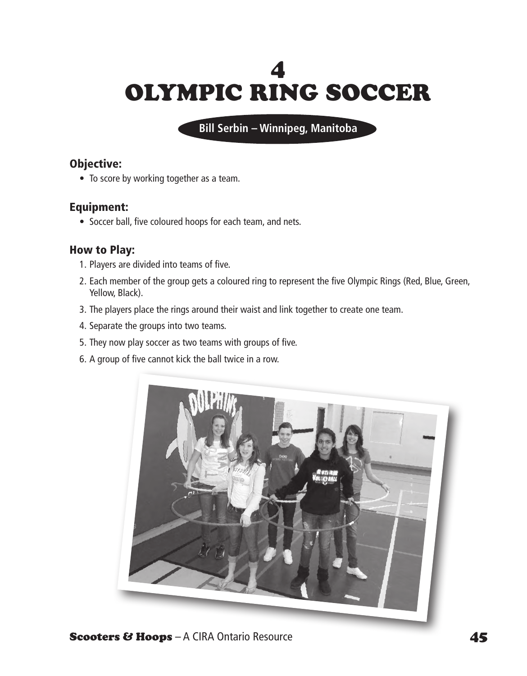# 4 OLYMPIC RING SOCCER

**Bill Serbin – Winnipeg, Manitoba**

#### Objective:

• To score by working together as a team.

### Equipment:

• Soccer ball, five coloured hoops for each team, and nets.

### How to Play:

- 1. Players are divided into teams of five.
- 2. Each member of the group gets a coloured ring to represent the five Olympic Rings (Red, Blue, Green, Yellow, Black).
- 3. The players place the rings around their waist and link together to create one team.
- 4. Separate the groups into two teams.
- 5. They now play soccer as two teams with groups of five.
- 6. A group of five cannot kick the ball twice in a row.

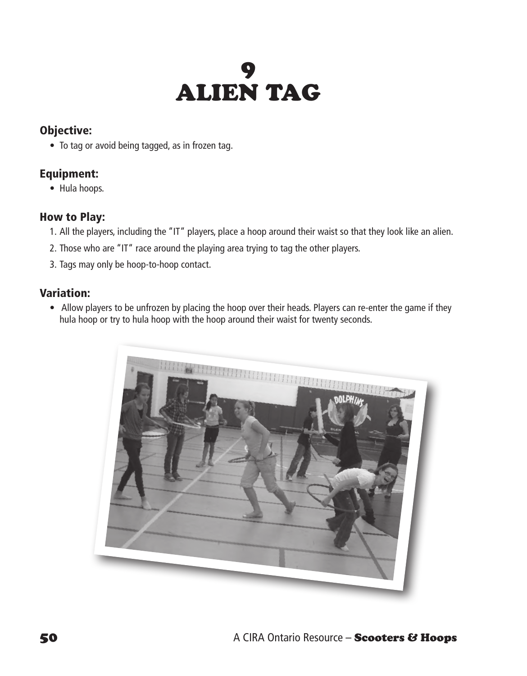# 9 ALIEN TAG

## Objective:

• To tag or avoid being tagged, as in frozen tag.

## Equipment:

• Hula hoops.

### How to Play:

- 1. All the players, including the "IT" players, place a hoop around their waist so that they look like an alien.
- 2. Those who are "IT" race around the playing area trying to tag the other players.
- 3. Tags may only be hoop-to-hoop contact.

## Variation:

• Allow players to be unfrozen by placing the hoop over their heads. Players can re-enter the game if they hula hoop or try to hula hoop with the hoop around their waist for twenty seconds.